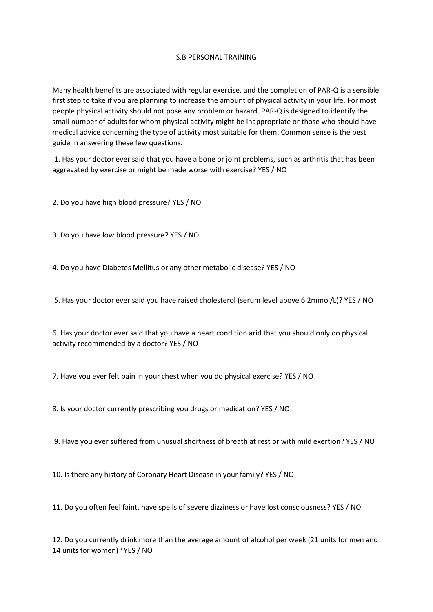## S.B PERSONAL TRAINING

Many health benefits are associated with regular exercise, and the completion of PAR-Q is a sensible first step to take if you are planning to increase the amount of physical activity in your life. For most people physical activity should not pose any problem or hazard. PAR-Q is designed to identify the small number of adults for whom physical activity might be inappropriate or those who should have medical advice concerning the type of activity most suitable for them. Common sense is the best guide in answering these few questions.

1. Has your doctor ever said that you have a bone or joint problems, such as arthritis that has been aggravated by exercise or might be made worse with exercise? YES / NO

2. Do you have high blood pressure? YES / NO

3. Do you have low blood pressure? YES / NO

4. Do you have Diabetes Mellitus or any other metabolic disease? YES / NO

5. Has your doctor ever said you have raised cholesterol (serum level above 6.2mmol/L)? YES / NO

6. Has your doctor ever said that you have a heart condition arid that you should only do physical activity recommended by a doctor? YES / NO

7. Have you ever felt pain in your chest when you do physical exercise? YES / NO

8. Is your doctor currently prescribing you drugs or medication? YES / NO

9. Have you ever suffered from unusual shortness of breath at rest or with mild exertion? YES / NO

10. Is there any history of Coronary Heart Disease in your family? YES / NO

11. Do you often feel faint, have spells of severe dizziness or have lost consciousness? YES / NO

12. Do you currently drink more than the average amount of alcohol per week (21 units for men and 14 units for women)? YES / NO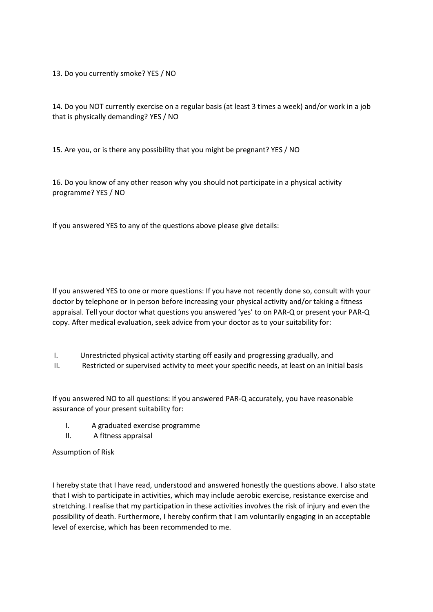13. Do you currently smoke? YES / NO

14. Do you NOT currently exercise on a regular basis (at least 3 times a week) and/or work in a job that is physically demanding? YES / NO

15. Are you, or is there any possibility that you might be pregnant? YES / NO

16. Do you know of any other reason why you should not participate in a physical activity programme? YES / NO

If you answered YES to any of the questions above please give details:

If you answered YES to one or more questions: If you have not recently done so, consult with your doctor by telephone or in person before increasing your physical activity and/or taking a fitness appraisal. Tell your doctor what questions you answered 'yes' to on PAR-Q or present your PAR-Q copy. After medical evaluation, seek advice from your doctor as to your suitability for:

- I. Unrestricted physical activity starting off easily and progressing gradually, and
- II. Restricted or supervised activity to meet your specific needs, at least on an initial basis

If you answered NO to all questions: If you answered PAR-Q accurately, you have reasonable assurance of your present suitability for:

- I. A graduated exercise programme
- II. A fitness appraisal

Assumption of Risk

I hereby state that I have read, understood and answered honestly the questions above. I also state that I wish to participate in activities, which may include aerobic exercise, resistance exercise and stretching. I realise that my participation in these activities involves the risk of injury and even the possibility of death. Furthermore, I hereby confirm that I am voluntarily engaging in an acceptable level of exercise, which has been recommended to me.